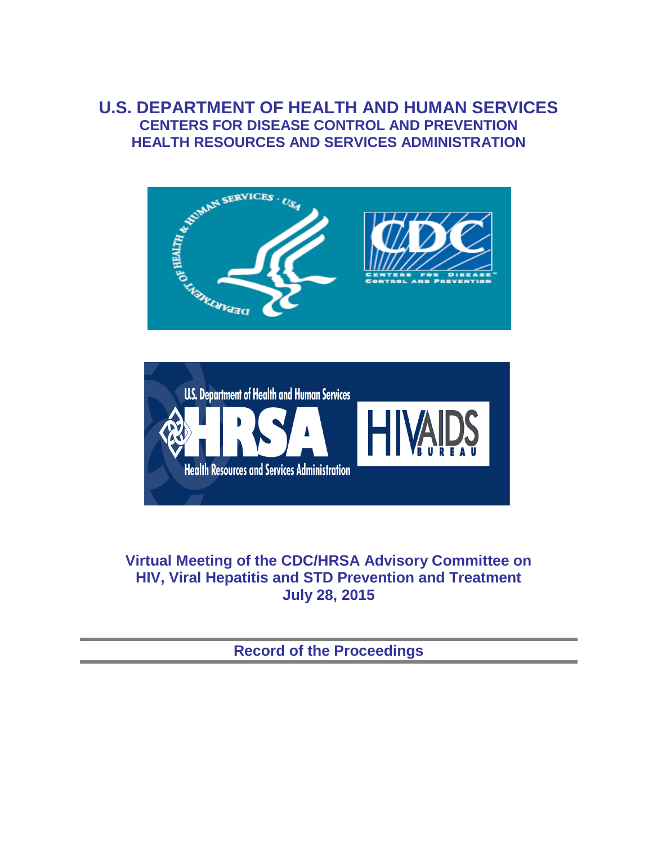# **U.S. DEPARTMENT OF HEALTH AND HUMAN SERVICES CENTERS FOR DISEASE CONTROL AND PREVENTION HEALTH RESOURCES AND SERVICES ADMINISTRATION**





# **Virtual Meeting of the CDC/HRSA Advisory Committee on HIV, Viral Hepatitis and STD Prevention and Treatment July 28, 2015**

**Record of the Proceedings**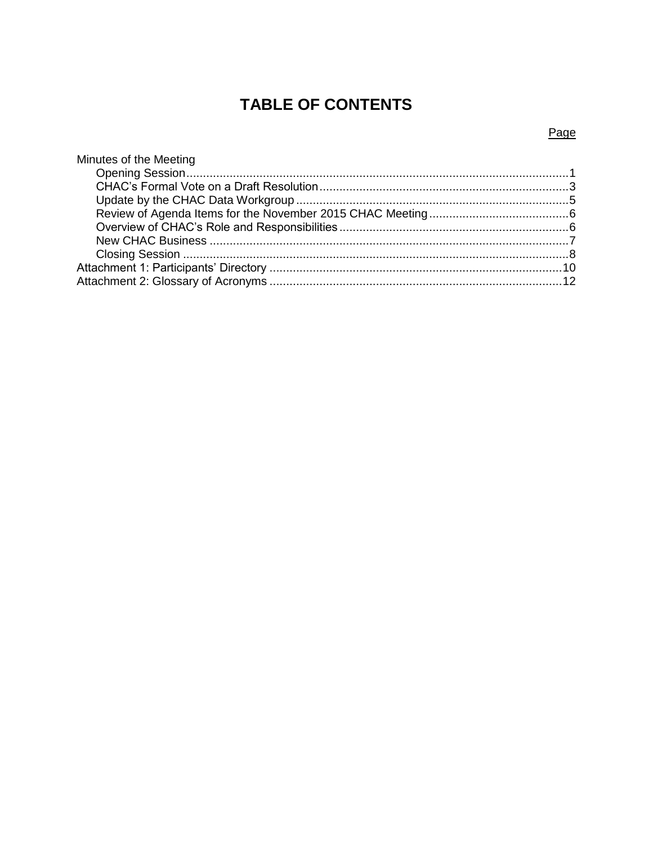# **TABLE OF CONTENTS**

### Page

| Minutes of the Meeting |  |
|------------------------|--|
|                        |  |
|                        |  |
|                        |  |
|                        |  |
|                        |  |
|                        |  |
|                        |  |
|                        |  |
|                        |  |
|                        |  |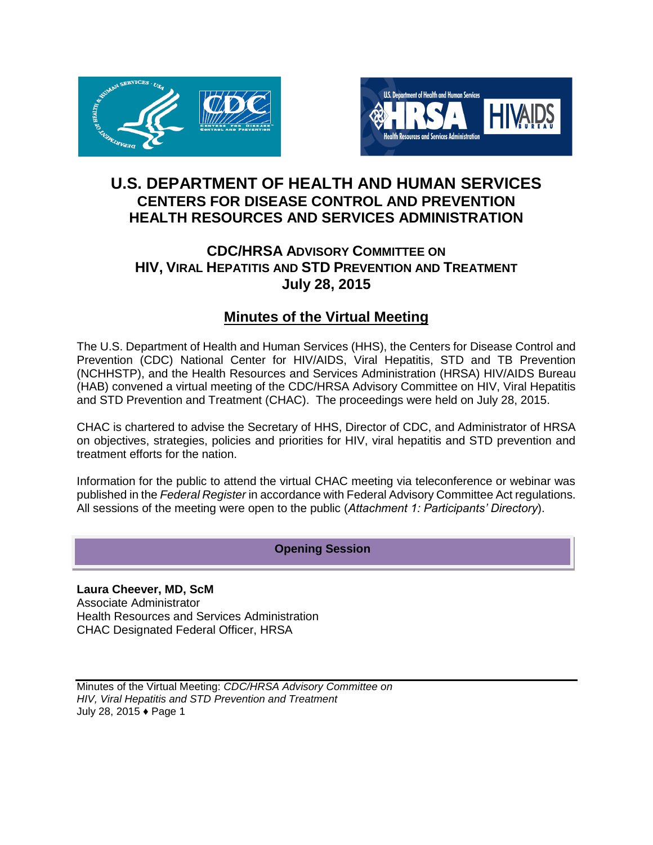



# **U.S. DEPARTMENT OF HEALTH AND HUMAN SERVICES CENTERS FOR DISEASE CONTROL AND PREVENTION HEALTH RESOURCES AND SERVICES ADMINISTRATION**

# **CDC/HRSA ADVISORY COMMITTEE ON HIV, VIRAL HEPATITIS AND STD PREVENTION AND TREATMENT July 28, 2015**

# **Minutes of the Virtual Meeting**

The U.S. Department of Health and Human Services (HHS), the Centers for Disease Control and Prevention (CDC) National Center for HIV/AIDS, Viral Hepatitis, STD and TB Prevention (NCHHSTP), and the Health Resources and Services Administration (HRSA) HIV/AIDS Bureau (HAB) convened a virtual meeting of the CDC/HRSA Advisory Committee on HIV, Viral Hepatitis and STD Prevention and Treatment (CHAC). The proceedings were held on July 28, 2015.

CHAC is chartered to advise the Secretary of HHS, Director of CDC, and Administrator of HRSA on objectives, strategies, policies and priorities for HIV, viral hepatitis and STD prevention and treatment efforts for the nation.

Information for the public to attend the virtual CHAC meeting via teleconference or webinar was published in the *Federal Register* in accordance with Federal Advisory Committee Act regulations. All sessions of the meeting were open to the public (*Attachment 1: Participants' Directory*).

### **Opening Session**

**Laura Cheever, MD, ScM**  Associate Administrator Health Resources and Services Administration CHAC Designated Federal Officer, HRSA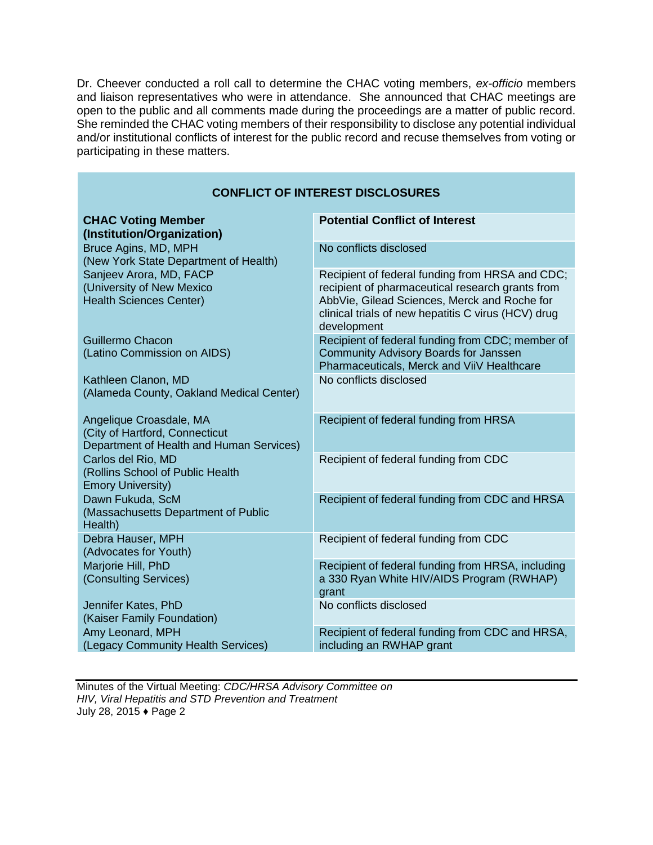Dr. Cheever conducted a roll call to determine the CHAC voting members, *ex-officio* members and liaison representatives who were in attendance. She announced that CHAC meetings are open to the public and all comments made during the proceedings are a matter of public record. She reminded the CHAC voting members of their responsibility to disclose any potential individual and/or institutional conflicts of interest for the public record and recuse themselves from voting or participating in these matters.

| <b>CONFLICT OF INTEREST DISCLOSURES</b>                                                               |                                                                                                                                                                                                                           |  |
|-------------------------------------------------------------------------------------------------------|---------------------------------------------------------------------------------------------------------------------------------------------------------------------------------------------------------------------------|--|
| <b>CHAC Voting Member</b><br>(Institution/Organization)                                               | <b>Potential Conflict of Interest</b>                                                                                                                                                                                     |  |
| Bruce Agins, MD, MPH<br>(New York State Department of Health)                                         | No conflicts disclosed                                                                                                                                                                                                    |  |
| Sanjeev Arora, MD, FACP<br>(University of New Mexico<br><b>Health Sciences Center)</b>                | Recipient of federal funding from HRSA and CDC;<br>recipient of pharmaceutical research grants from<br>AbbVie, Gilead Sciences, Merck and Roche for<br>clinical trials of new hepatitis C virus (HCV) drug<br>development |  |
| Guillermo Chacon<br>(Latino Commission on AIDS)                                                       | Recipient of federal funding from CDC; member of<br><b>Community Advisory Boards for Janssen</b><br>Pharmaceuticals, Merck and ViiV Healthcare                                                                            |  |
| Kathleen Clanon, MD<br>(Alameda County, Oakland Medical Center)                                       | No conflicts disclosed                                                                                                                                                                                                    |  |
| Angelique Croasdale, MA<br>(City of Hartford, Connecticut<br>Department of Health and Human Services) | Recipient of federal funding from HRSA                                                                                                                                                                                    |  |
| Carlos del Rio, MD<br>(Rollins School of Public Health<br><b>Emory University)</b>                    | Recipient of federal funding from CDC                                                                                                                                                                                     |  |
| Dawn Fukuda, ScM<br>(Massachusetts Department of Public<br>Health)                                    | Recipient of federal funding from CDC and HRSA                                                                                                                                                                            |  |
| Debra Hauser, MPH<br>(Advocates for Youth)                                                            | Recipient of federal funding from CDC                                                                                                                                                                                     |  |
| Marjorie Hill, PhD<br>(Consulting Services)                                                           | Recipient of federal funding from HRSA, including<br>a 330 Ryan White HIV/AIDS Program (RWHAP)<br>grant                                                                                                                   |  |
| Jennifer Kates, PhD<br>(Kaiser Family Foundation)                                                     | No conflicts disclosed                                                                                                                                                                                                    |  |
| Amy Leonard, MPH<br>(Legacy Community Health Services)                                                | Recipient of federal funding from CDC and HRSA,<br>including an RWHAP grant                                                                                                                                               |  |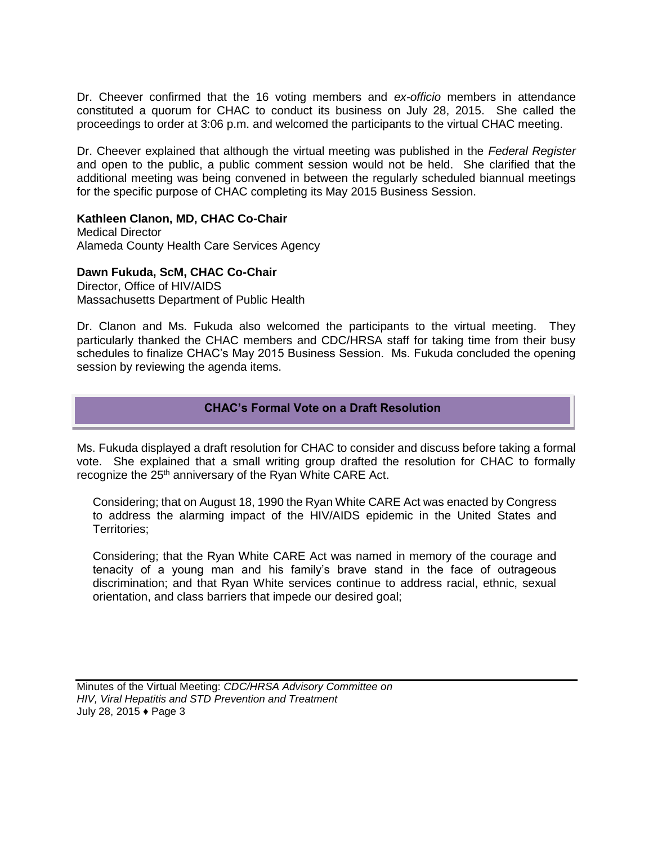Dr. Cheever confirmed that the 16 voting members and *ex-officio* members in attendance constituted a quorum for CHAC to conduct its business on July 28, 2015. She called the proceedings to order at 3:06 p.m. and welcomed the participants to the virtual CHAC meeting.

Dr. Cheever explained that although the virtual meeting was published in the *Federal Register* and open to the public, a public comment session would not be held. She clarified that the additional meeting was being convened in between the regularly scheduled biannual meetings for the specific purpose of CHAC completing its May 2015 Business Session.

#### **Kathleen Clanon, MD, CHAC Co-Chair**

Medical Director Alameda County Health Care Services Agency

#### **Dawn Fukuda, ScM, CHAC Co-Chair**

Director, Office of HIV/AIDS Massachusetts Department of Public Health

Dr. Clanon and Ms. Fukuda also welcomed the participants to the virtual meeting. They particularly thanked the CHAC members and CDC/HRSA staff for taking time from their busy schedules to finalize CHAC's May 2015 Business Session. Ms. Fukuda concluded the opening session by reviewing the agenda items.

#### **CHAC's Formal Vote on a Draft Resolution**

Ms. Fukuda displayed a draft resolution for CHAC to consider and discuss before taking a formal vote. She explained that a small writing group drafted the resolution for CHAC to formally recognize the 25<sup>th</sup> anniversary of the Ryan White CARE Act.

Considering; that on August 18, 1990 the Ryan White CARE Act was enacted by Congress to address the alarming impact of the HIV/AIDS epidemic in the United States and Territories;

Considering; that the Ryan White CARE Act was named in memory of the courage and tenacity of a young man and his family's brave stand in the face of outrageous discrimination; and that Ryan White services continue to address racial, ethnic, sexual orientation, and class barriers that impede our desired goal;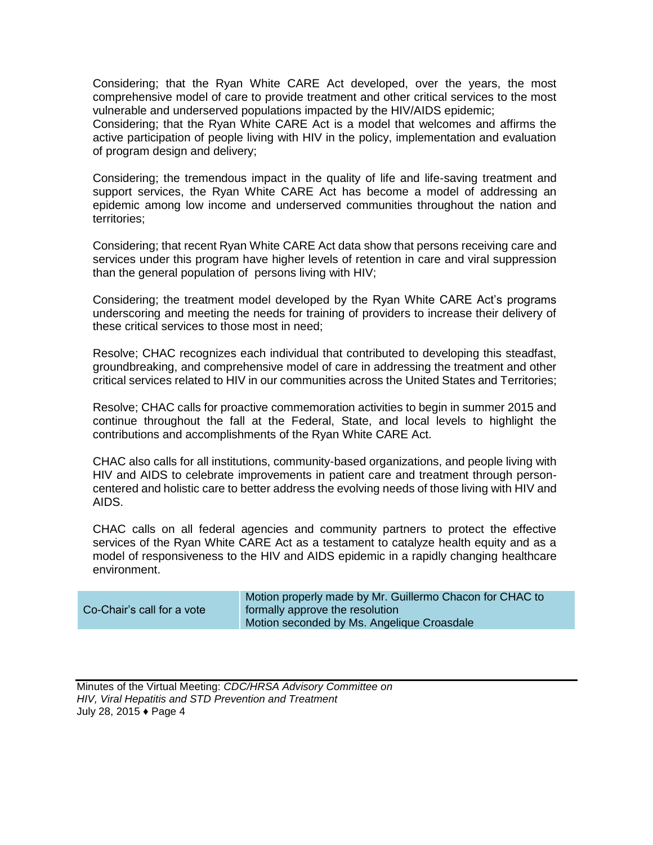Considering; that the Ryan White CARE Act developed, over the years, the most comprehensive model of care to provide treatment and other critical services to the most vulnerable and underserved populations impacted by the HIV/AIDS epidemic;

Considering; that the Ryan White CARE Act is a model that welcomes and affirms the active participation of people living with HIV in the policy, implementation and evaluation of program design and delivery;

Considering; the tremendous impact in the quality of life and life-saving treatment and support services, the Ryan White CARE Act has become a model of addressing an epidemic among low income and underserved communities throughout the nation and territories;

Considering; that recent Ryan White CARE Act data show that persons receiving care and services under this program have higher levels of retention in care and viral suppression than the general population of persons living with HIV;

Considering; the treatment model developed by the Ryan White CARE Act's programs underscoring and meeting the needs for training of providers to increase their delivery of these critical services to those most in need;

Resolve; CHAC recognizes each individual that contributed to developing this steadfast, groundbreaking, and comprehensive model of care in addressing the treatment and other critical services related to HIV in our communities across the United States and Territories;

Resolve; CHAC calls for proactive commemoration activities to begin in summer 2015 and continue throughout the fall at the Federal, State, and local levels to highlight the contributions and accomplishments of the Ryan White CARE Act.

CHAC also calls for all institutions, community-based organizations, and people living with HIV and AIDS to celebrate improvements in patient care and treatment through personcentered and holistic care to better address the evolving needs of those living with HIV and AIDS.

CHAC calls on all federal agencies and community partners to protect the effective services of the Ryan White CARE Act as a testament to catalyze health equity and as a model of responsiveness to the HIV and AIDS epidemic in a rapidly changing healthcare environment.

| Co-Chair's call for a vote | Motion properly made by Mr. Guillermo Chacon for CHAC to<br>formally approve the resolution<br>Motion seconded by Ms. Angelique Croasdale |
|----------------------------|-------------------------------------------------------------------------------------------------------------------------------------------|
|                            |                                                                                                                                           |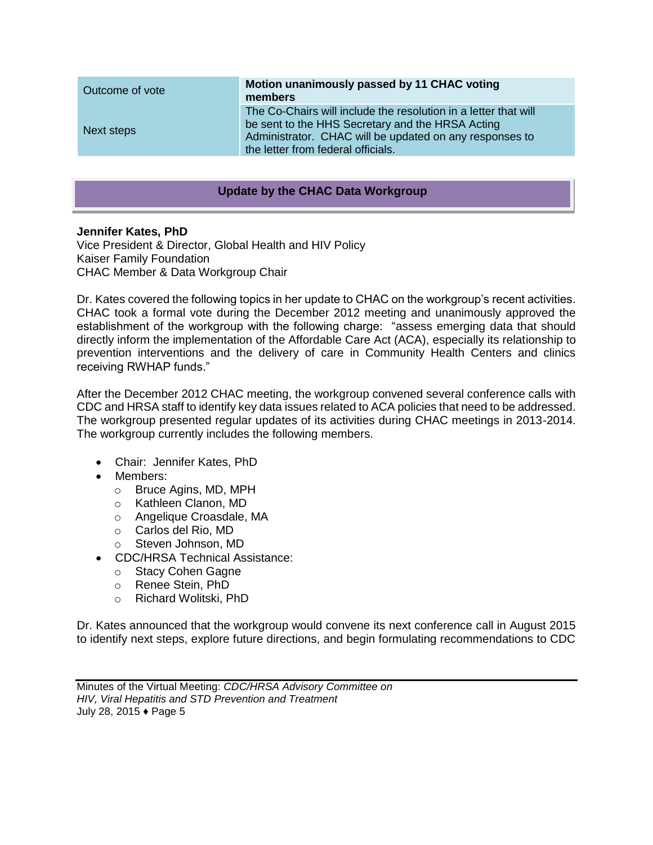| Outcome of vote | Motion unanimously passed by 11 CHAC voting<br>members                                                                                                                                                               |
|-----------------|----------------------------------------------------------------------------------------------------------------------------------------------------------------------------------------------------------------------|
| Next steps      | The Co-Chairs will include the resolution in a letter that will<br>be sent to the HHS Secretary and the HRSA Acting<br>Administrator. CHAC will be updated on any responses to<br>the letter from federal officials. |

#### **Update by the CHAC Data Workgroup**

#### **Jennifer Kates, PhD**

Vice President & Director, Global Health and HIV Policy Kaiser Family Foundation CHAC Member & Data Workgroup Chair

Dr. Kates covered the following topics in her update to CHAC on the workgroup's recent activities. CHAC took a formal vote during the December 2012 meeting and unanimously approved the establishment of the workgroup with the following charge: "assess emerging data that should directly inform the implementation of the Affordable Care Act (ACA), especially its relationship to prevention interventions and the delivery of care in Community Health Centers and clinics receiving RWHAP funds."

After the December 2012 CHAC meeting, the workgroup convened several conference calls with CDC and HRSA staff to identify key data issues related to ACA policies that need to be addressed. The workgroup presented regular updates of its activities during CHAC meetings in 2013-2014. The workgroup currently includes the following members.

- Chair: Jennifer Kates, PhD
- Members:
	- o Bruce Agins, MD, MPH
	- o Kathleen Clanon, MD
	- o Angelique Croasdale, MA
	- o Carlos del Rio, MD
	- o Steven Johnson, MD
- CDC/HRSA Technical Assistance:
	- o Stacy Cohen Gagne
	- o Renee Stein, PhD
	- o Richard Wolitski, PhD

Dr. Kates announced that the workgroup would convene its next conference call in August 2015 to identify next steps, explore future directions, and begin formulating recommendations to CDC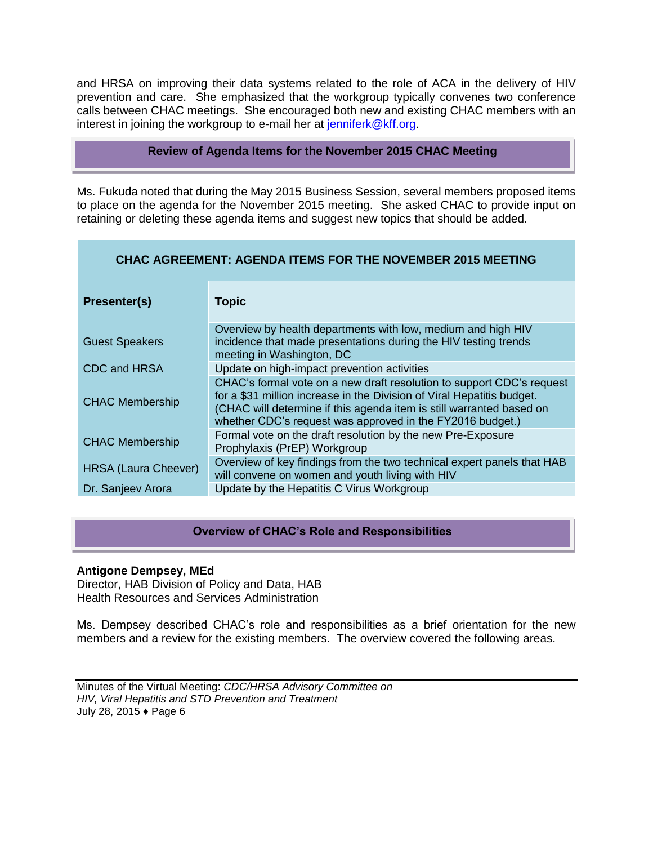and HRSA on improving their data systems related to the role of ACA in the delivery of HIV prevention and care. She emphasized that the workgroup typically convenes two conference calls between CHAC meetings. She encouraged both new and existing CHAC members with an interest in joining the workgroup to e-mail her at [jenniferk@kff.org.](mailto:jenniferk@kff.org)

#### **Review of Agenda Items for the November 2015 CHAC Meeting**

Ms. Fukuda noted that during the May 2015 Business Session, several members proposed items to place on the agenda for the November 2015 meeting. She asked CHAC to provide input on retaining or deleting these agenda items and suggest new topics that should be added.

| Presenter(s)<br><b>Topic</b><br>Overview by health departments with low, medium and high HIV<br>incidence that made presentations during the HIV testing trends<br><b>Guest Speakers</b><br>meeting in Washington, DC<br>Update on high-impact prevention activities<br>CDC and HRSA<br>CHAC's formal vote on a new draft resolution to support CDC's request<br>for a \$31 million increase in the Division of Viral Hepatitis budget.<br><b>CHAC Membership</b><br>(CHAC will determine if this agenda item is still warranted based on<br>whether CDC's request was approved in the FY2016 budget.)<br>Formal vote on the draft resolution by the new Pre-Exposure<br><b>CHAC Membership</b> | CHAC AGREEMENT: AGENDA ITEMS FOR THE NOVEMBER 2015 MEETING |                              |  |
|-------------------------------------------------------------------------------------------------------------------------------------------------------------------------------------------------------------------------------------------------------------------------------------------------------------------------------------------------------------------------------------------------------------------------------------------------------------------------------------------------------------------------------------------------------------------------------------------------------------------------------------------------------------------------------------------------|------------------------------------------------------------|------------------------------|--|
|                                                                                                                                                                                                                                                                                                                                                                                                                                                                                                                                                                                                                                                                                                 |                                                            |                              |  |
|                                                                                                                                                                                                                                                                                                                                                                                                                                                                                                                                                                                                                                                                                                 |                                                            |                              |  |
|                                                                                                                                                                                                                                                                                                                                                                                                                                                                                                                                                                                                                                                                                                 |                                                            |                              |  |
|                                                                                                                                                                                                                                                                                                                                                                                                                                                                                                                                                                                                                                                                                                 |                                                            |                              |  |
|                                                                                                                                                                                                                                                                                                                                                                                                                                                                                                                                                                                                                                                                                                 |                                                            | Prophylaxis (PrEP) Workgroup |  |
| Overview of key findings from the two technical expert panels that HAB<br><b>HRSA (Laura Cheever)</b><br>will convene on women and youth living with HIV                                                                                                                                                                                                                                                                                                                                                                                                                                                                                                                                        |                                                            |                              |  |
| Update by the Hepatitis C Virus Workgroup<br>Dr. Sanjeev Arora                                                                                                                                                                                                                                                                                                                                                                                                                                                                                                                                                                                                                                  |                                                            |                              |  |

#### **Overview of CHAC's Role and Responsibilities**

#### **Antigone Dempsey, MEd**

Director, HAB Division of Policy and Data, HAB Health Resources and Services Administration

Ms. Dempsey described CHAC's role and responsibilities as a brief orientation for the new members and a review for the existing members. The overview covered the following areas.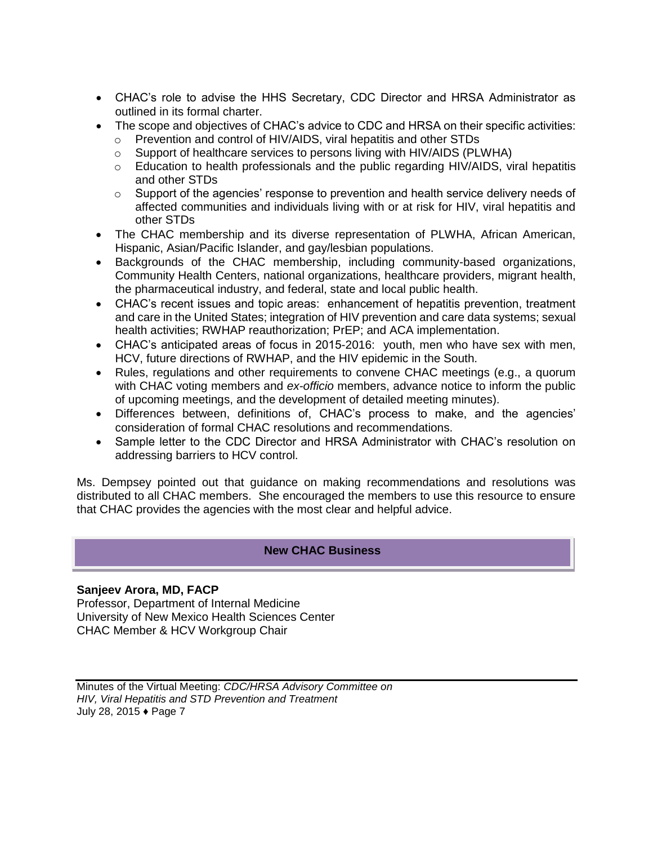- CHAC's role to advise the HHS Secretary, CDC Director and HRSA Administrator as outlined in its formal charter.
- The scope and objectives of CHAC's advice to CDC and HRSA on their specific activities:
	- o Prevention and control of HIV/AIDS, viral hepatitis and other STDs
	- o Support of healthcare services to persons living with HIV/AIDS (PLWHA)
	- $\circ$  Education to health professionals and the public regarding HIV/AIDS, viral hepatitis and other STDs
	- $\circ$  Support of the agencies' response to prevention and health service delivery needs of affected communities and individuals living with or at risk for HIV, viral hepatitis and other STDs
- The CHAC membership and its diverse representation of PLWHA, African American, Hispanic, Asian/Pacific Islander, and gay/lesbian populations.
- Backgrounds of the CHAC membership, including community-based organizations, Community Health Centers, national organizations, healthcare providers, migrant health, the pharmaceutical industry, and federal, state and local public health.
- CHAC's recent issues and topic areas: enhancement of hepatitis prevention, treatment and care in the United States; integration of HIV prevention and care data systems; sexual health activities; RWHAP reauthorization; PrEP; and ACA implementation.
- CHAC's anticipated areas of focus in 2015-2016: youth, men who have sex with men, HCV, future directions of RWHAP, and the HIV epidemic in the South.
- Rules, regulations and other requirements to convene CHAC meetings (e.g., a quorum with CHAC voting members and *ex-officio* members, advance notice to inform the public of upcoming meetings, and the development of detailed meeting minutes).
- Differences between, definitions of, CHAC's process to make, and the agencies' consideration of formal CHAC resolutions and recommendations.
- Sample letter to the CDC Director and HRSA Administrator with CHAC's resolution on addressing barriers to HCV control.

Ms. Dempsey pointed out that guidance on making recommendations and resolutions was distributed to all CHAC members. She encouraged the members to use this resource to ensure that CHAC provides the agencies with the most clear and helpful advice.

#### **New CHAC Business**

#### **Sanjeev Arora, MD, FACP**

Professor, Department of Internal Medicine University of New Mexico Health Sciences Center CHAC Member & HCV Workgroup Chair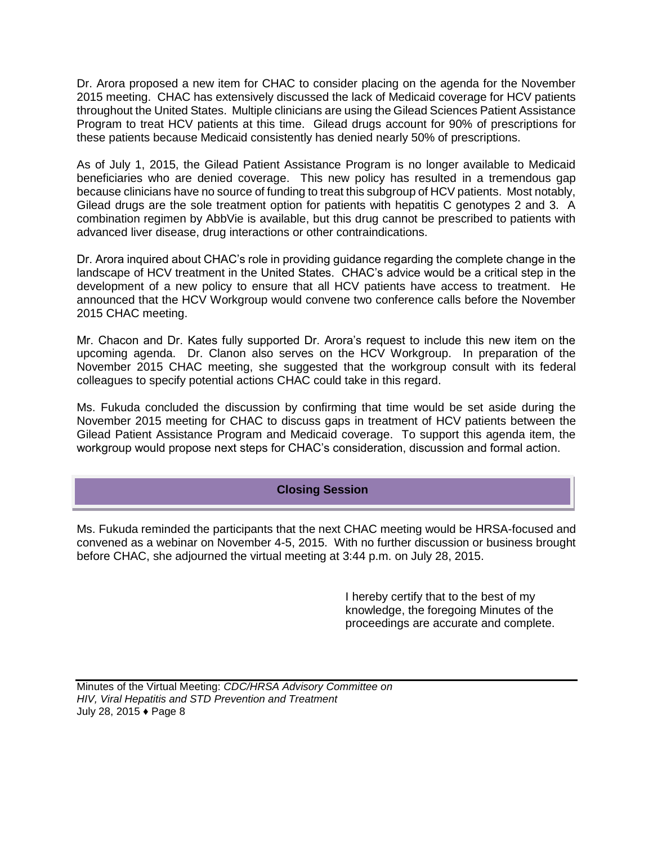Dr. Arora proposed a new item for CHAC to consider placing on the agenda for the November 2015 meeting. CHAC has extensively discussed the lack of Medicaid coverage for HCV patients throughout the United States. Multiple clinicians are using the Gilead Sciences Patient Assistance Program to treat HCV patients at this time. Gilead drugs account for 90% of prescriptions for these patients because Medicaid consistently has denied nearly 50% of prescriptions.

As of July 1, 2015, the Gilead Patient Assistance Program is no longer available to Medicaid beneficiaries who are denied coverage. This new policy has resulted in a tremendous gap because clinicians have no source of funding to treat this subgroup of HCV patients. Most notably, Gilead drugs are the sole treatment option for patients with hepatitis C genotypes 2 and 3. A combination regimen by AbbVie is available, but this drug cannot be prescribed to patients with advanced liver disease, drug interactions or other contraindications.

Dr. Arora inquired about CHAC's role in providing guidance regarding the complete change in the landscape of HCV treatment in the United States. CHAC's advice would be a critical step in the development of a new policy to ensure that all HCV patients have access to treatment. He announced that the HCV Workgroup would convene two conference calls before the November 2015 CHAC meeting.

Mr. Chacon and Dr. Kates fully supported Dr. Arora's request to include this new item on the upcoming agenda. Dr. Clanon also serves on the HCV Workgroup. In preparation of the November 2015 CHAC meeting, she suggested that the workgroup consult with its federal colleagues to specify potential actions CHAC could take in this regard.

Ms. Fukuda concluded the discussion by confirming that time would be set aside during the November 2015 meeting for CHAC to discuss gaps in treatment of HCV patients between the Gilead Patient Assistance Program and Medicaid coverage. To support this agenda item, the workgroup would propose next steps for CHAC's consideration, discussion and formal action.

#### **Closing Session**

Ms. Fukuda reminded the participants that the next CHAC meeting would be HRSA-focused and convened as a webinar on November 4-5, 2015. With no further discussion or business brought before CHAC, she adjourned the virtual meeting at 3:44 p.m. on July 28, 2015.

> I hereby certify that to the best of my knowledge, the foregoing Minutes of the proceedings are accurate and complete.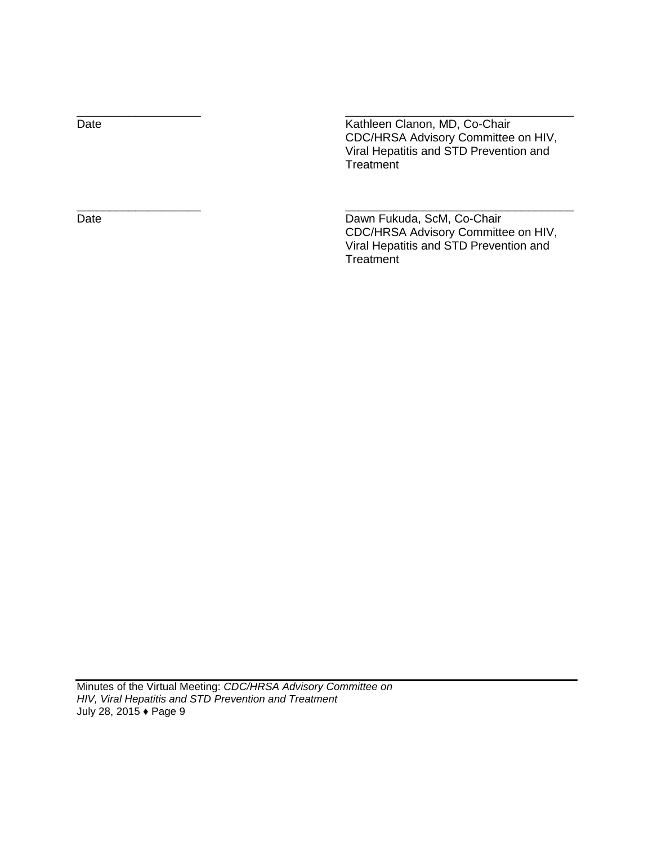Date **Date** Kathleen Clanon, MD, Co-Chair CDC/HRSA Advisory Committee on HIV, Viral Hepatitis and STD Prevention and **Treatment** 

\_\_\_\_\_\_\_\_\_\_\_\_\_\_\_\_\_\_\_ \_\_\_\_\_\_\_\_\_\_\_\_\_\_\_\_\_\_\_\_\_\_\_\_\_\_\_\_\_\_\_\_\_\_\_

\_\_\_\_\_\_\_\_\_\_\_\_\_\_\_\_\_\_\_ \_\_\_\_\_\_\_\_\_\_\_\_\_\_\_\_\_\_\_\_\_\_\_\_\_\_\_\_\_\_\_\_\_\_\_

Date Date Dawn Fukuda, ScM, Co-Chair CDC/HRSA Advisory Committee on HIV, Viral Hepatitis and STD Prevention and **Treatment**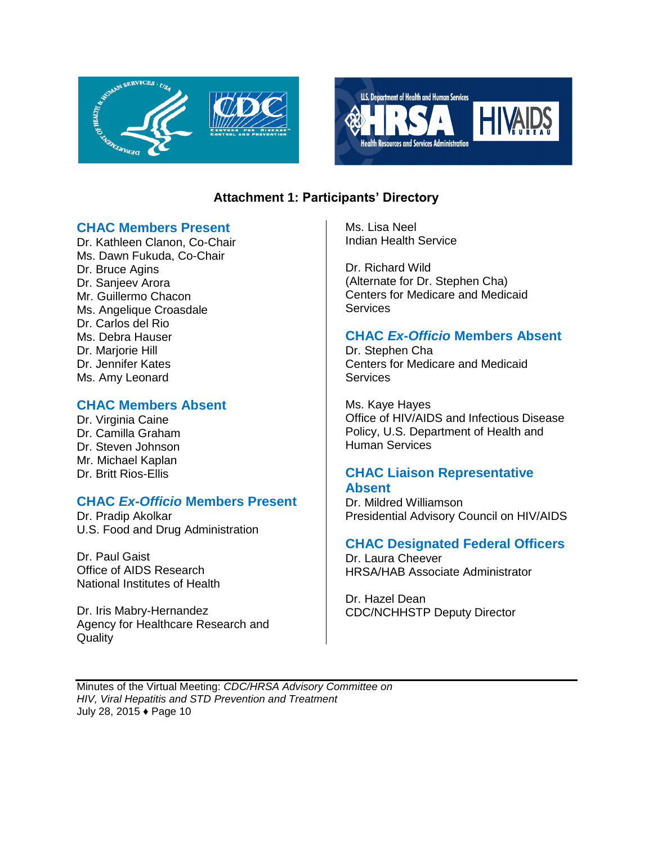



### **Attachment 1: Participants' Directory**

### **CHAC Members Present**

Dr. Kathleen Clanon, Co-Chair Ms. Dawn Fukuda, Co-Chair Dr. Bruce Agins Dr. Sanjeev Arora Mr. Guillermo Chacon Ms. Angelique Croasdale Dr. Carlos del Rio Ms. Debra Hauser Dr. Mariorie Hill Dr. Jennifer Kates Ms. Amy Leonard

### **CHAC Members Absent**

Dr. Virginia Caine Dr. Camilla Graham Dr. Steven Johnson Mr. Michael Kaplan Dr. Britt Rios-Ellis

# **CHAC** *Ex-Officio* **Members Present**

Dr. Pradip Akolkar U.S. Food and Drug Administration

Dr. Paul Gaist Office of AIDS Research National Institutes of Health

Dr. Iris Mabry-Hernandez Agency for Healthcare Research and **Quality** 

Ms. Lisa Neel Indian Health Service

Dr. Richard Wild (Alternate for Dr. Stephen Cha) Centers for Medicare and Medicaid **Services** 

### **CHAC** *Ex-Officio* **Members Absent**

Dr. Stephen Cha Centers for Medicare and Medicaid **Services** 

Ms. Kaye Hayes Office of HIV/AIDS and Infectious Disease Policy, U.S. Department of Health and Human Services

### **CHAC Liaison Representative Absent**

Dr. Mildred Williamson Presidential Advisory Council on HIV/AIDS

### **CHAC Designated Federal Officers**

Dr. Laura Cheever HRSA/HAB Associate Administrator

Dr. Hazel Dean CDC/NCHHSTP Deputy Director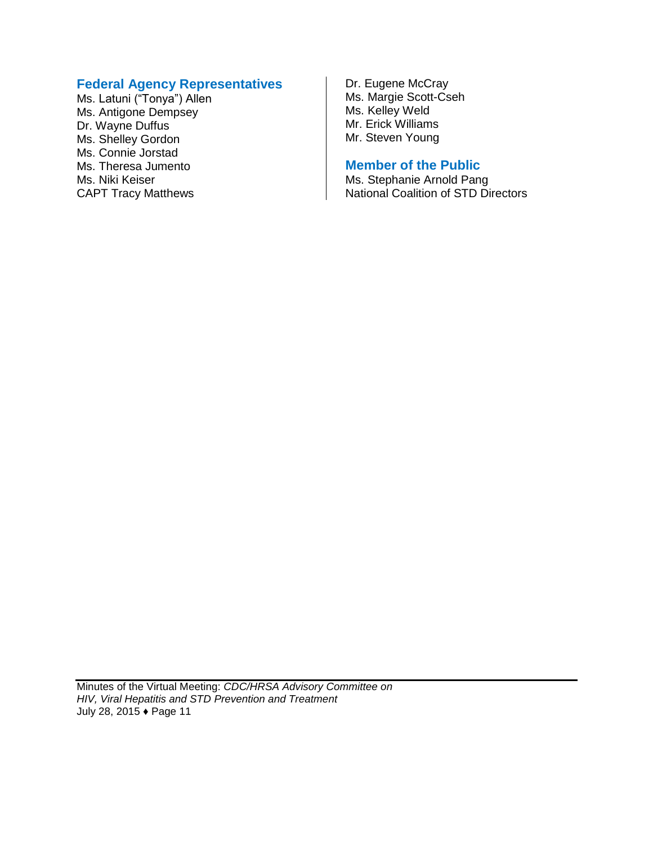### **Federal Agency Representatives**

Ms. Latuni ("Tonya") Allen Ms. Antigone Dempsey Dr. Wayne Duffus Ms. Shelley Gordon Ms. Connie Jorstad Ms. Theresa Jumento Ms. Niki Keiser CAPT Tracy Matthews

Dr. Eugene McCray Ms. Margie Scott-Cseh Ms. Kelley Weld Mr. Erick Williams Mr. Steven Young

### **Member of the Public**

Ms. Stephanie Arnold Pang National Coalition of STD Directors